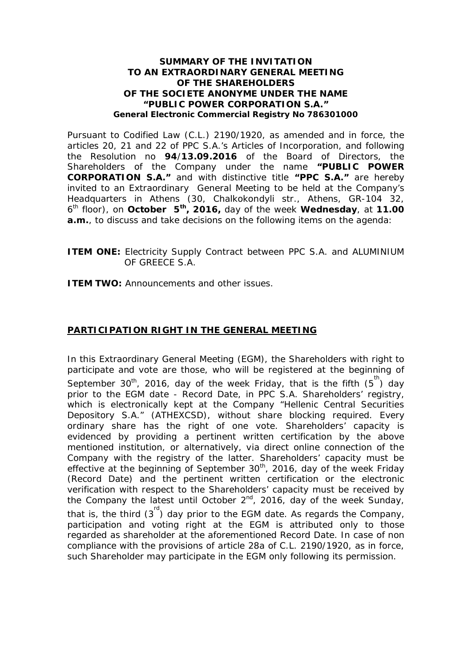## **SUMMARY OF THE INVITATION TO AN EXTRAORDINARY GENERAL MEETING OF THE SHAREHOLDERS OF THE SOCIETE ANONYME UNDER THE NAME "PUBLIC POWER CORPORATION S.A." General Electronic Commercial Registry No 786301000**

Pursuant to Codified Law (C.L.) 2190/1920, as amended and in force, the articles 20, 21 and 22 of PPC S.A.'s Articles of Incorporation, and following the Resolution no **94**/**13.09.2016** of the Board of Directors, the Shareholders of the Company under the name **"PUBLIC POWER CORPORATION S.A."** and with distinctive title **"PPC S.A."** are hereby invited to an Extraordinary General Meeting to be held at the Company's Headquarters in Athens (30, Chalkokondyli str., Athens, GR-104 32, 6 th floor), on **October 5th, 2016,** day of the week **Wednesday**, at **11.00 a.m.**, to discuss and take decisions on the following items on the agenda:

**ITEM ONE:** Electricity Supply Contract between PPC S.A. and ALUMINIUM OF GREECE S.A.

**ITEM TWO:** Announcements and other issues.

## **PARTICIPATION RIGHT IN THE GENERAL MEETING**

In this Extraordinary General Meeting (EGM), the Shareholders with right to participate and vote are those, who will be registered at the beginning of September 30<sup>th</sup>, 2016, day of the week Friday, that is the fifth  $(5^{\text{th}})$  day prior to the EGM date - Record Date, in PPC S.A. Shareholders' registry, which is electronically kept at the Company "Hellenic Central Securities Depository S.A." (ATHEXCSD), without share blocking required. Every ordinary share has the right of one vote. Shareholders' capacity is evidenced by providing a pertinent written certification by the above mentioned institution, or alternatively, via direct online connection of the Company with the registry of the latter. Shareholders' capacity must be effective at the beginning of September  $30<sup>th</sup>$ , 2016, day of the week Friday (Record Date) and the pertinent written certification or the electronic verification with respect to the Shareholders' capacity must be received by the Company the latest until October  $2^{nd}$ , 2016, day of the week Sunday, that is, the third  $(3^{rd})$  day prior to the EGM date. As regards the Company, participation and voting right at the EGM is attributed only to those regarded as shareholder at the aforementioned Record Date. In case of non compliance with the provisions of article 28a of C.L. 2190/1920, as in force, such Shareholder may participate in the EGM only following its permission.